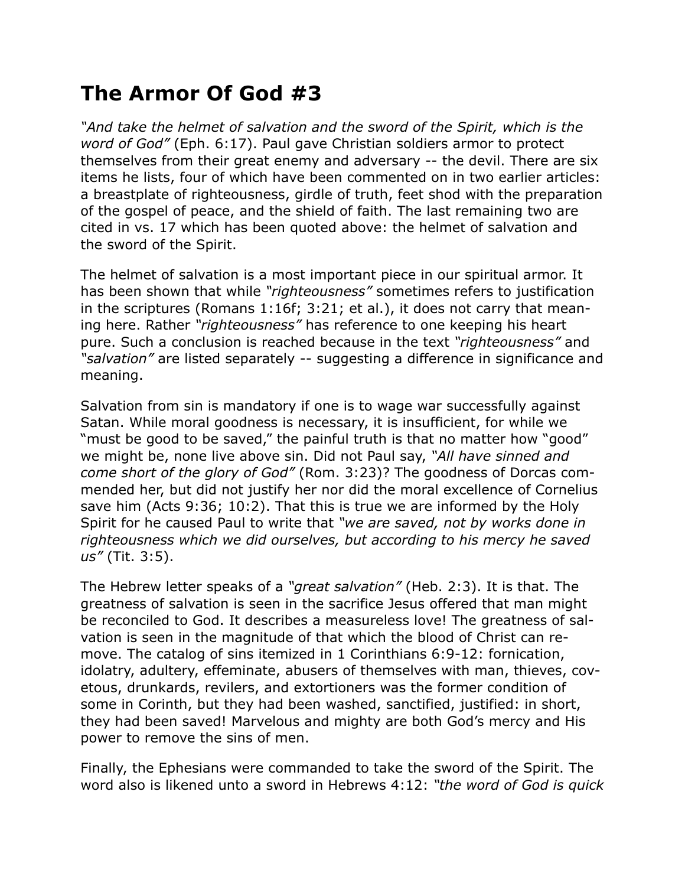## **The Armor Of God #3**

*"And take the helmet of salvation and the sword of the Spirit, which is the word of God"* (Eph. 6:17). Paul gave Christian soldiers armor to protect themselves from their great enemy and adversary -- the devil. There are six items he lists, four of which have been commented on in two earlier articles: a breastplate of righteousness, girdle of truth, feet shod with the preparation of the gospel of peace, and the shield of faith. The last remaining two are cited in vs. 17 which has been quoted above: the helmet of salvation and the sword of the Spirit.

The helmet of salvation is a most important piece in our spiritual armor. It has been shown that while *"righteousness"* sometimes refers to justification in the scriptures (Romans 1:16f; 3:21; et al.), it does not carry that meaning here. Rather *"righteousness"* has reference to one keeping his heart pure. Such a conclusion is reached because in the text *"righteousness"* and *"salvation"* are listed separately -- suggesting a difference in significance and meaning.

Salvation from sin is mandatory if one is to wage war successfully against Satan. While moral goodness is necessary, it is insufficient, for while we "must be good to be saved," the painful truth is that no matter how "good" we might be, none live above sin. Did not Paul say, *"All have sinned and come short of the glory of God"* (Rom. 3:23)? The goodness of Dorcas commended her, but did not justify her nor did the moral excellence of Cornelius save him (Acts 9:36; 10:2). That this is true we are informed by the Holy Spirit for he caused Paul to write that *"we are saved, not by works done in righteousness which we did ourselves, but according to his mercy he saved us"* (Tit. 3:5).

The Hebrew letter speaks of a *"great salvation"* (Heb. 2:3). It is that. The greatness of salvation is seen in the sacrifice Jesus offered that man might be reconciled to God. It describes a measureless love! The greatness of salvation is seen in the magnitude of that which the blood of Christ can remove. The catalog of sins itemized in 1 Corinthians 6:9-12: fornication, idolatry, adultery, effeminate, abusers of themselves with man, thieves, covetous, drunkards, revilers, and extortioners was the former condition of some in Corinth, but they had been washed, sanctified, justified: in short, they had been saved! Marvelous and mighty are both God's mercy and His power to remove the sins of men.

Finally, the Ephesians were commanded to take the sword of the Spirit. The word also is likened unto a sword in Hebrews 4:12: *"the word of God is quick*